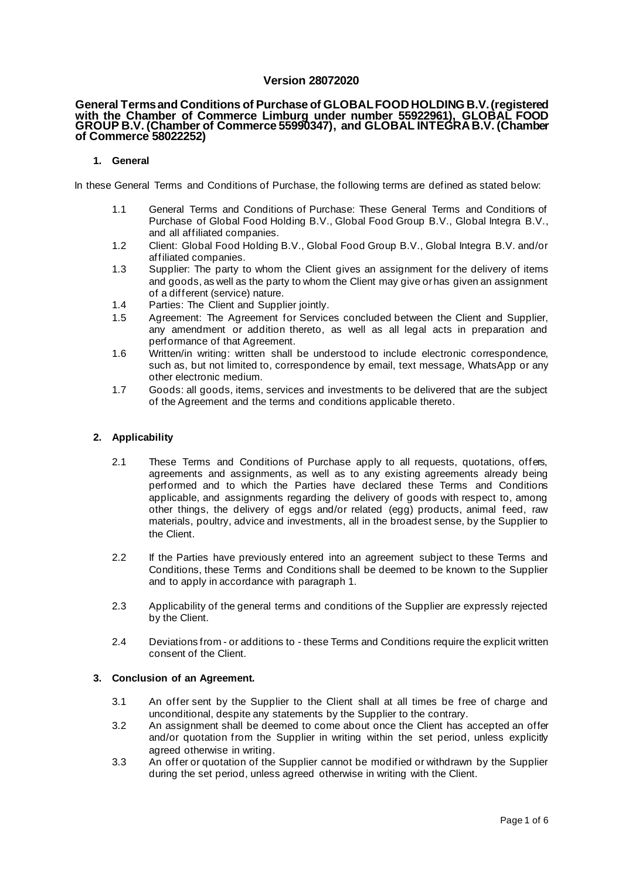# **Version 28072020**

#### **General Terms and Conditions of Purchase of GLOBAL FOOD HOLDING B.V. (registered with the Chamber of Commerce Limburg under number 55922961), GLOBAL FOOD GROUP B.V. (Chamber of Commerce 55990347), and GLOBAL INTEGRA B.V. (Chamber of Commerce 58022252)**

### **1. General**

In these General Terms and Conditions of Purchase, the following terms are defined as stated below:

- 1.1 General Terms and Conditions of Purchase: These General Terms and Conditions of Purchase of Global Food Holding B.V., Global Food Group B.V., Global Integra B.V., and all affiliated companies.
- 1.2 Client: Global Food Holding B.V., Global Food Group B.V., Global Integra B.V. and/or affiliated companies.
- 1.3 Supplier: The party to whom the Client gives an assignment for the delivery of items and goods, as well as the party to whom the Client may give or has given an assignment of a different (service) nature.
- 1.4 Parties: The Client and Supplier jointly.
- 1.5 Agreement: The Agreement for Services concluded between the Client and Supplier, any amendment or addition thereto, as well as all legal acts in preparation and performance of that Agreement.
- 1.6 Written/in writing: written shall be understood to include electronic correspondence, such as, but not limited to, correspondence by email, text message, WhatsApp or any other electronic medium.
- 1.7 Goods: all goods, items, services and investments to be delivered that are the subject of the Agreement and the terms and conditions applicable thereto.

### **2. Applicability**

- 2.1 These Terms and Conditions of Purchase apply to all requests, quotations, offers, agreements and assignments, as well as to any existing agreements already being performed and to which the Parties have declared these Terms and Conditions applicable, and assignments regarding the delivery of goods with respect to, among other things, the delivery of eggs and/or related (egg) products, animal feed, raw materials, poultry, advice and investments, all in the broadest sense, by the Supplier to the Client.
- 2.2 If the Parties have previously entered into an agreement subject to these Terms and Conditions, these Terms and Conditions shall be deemed to be known to the Supplier and to apply in accordance with paragraph 1.
- 2.3 Applicability of the general terms and conditions of the Supplier are expressly rejected by the Client.
- 2.4 Deviations from or additions to these Terms and Conditions require the explicit written consent of the Client.

### **3. Conclusion of an Agreement.**

- 3.1 An offer sent by the Supplier to the Client shall at all times be free of charge and unconditional, despite any statements by the Supplier to the contrary.
- 3.2 An assignment shall be deemed to come about once the Client has accepted an offer and/or quotation from the Supplier in writing within the set period, unless explicitly agreed otherwise in writing.
- 3.3 An offer or quotation of the Supplier cannot be modified or withdrawn by the Supplier during the set period, unless agreed otherwise in writing with the Client.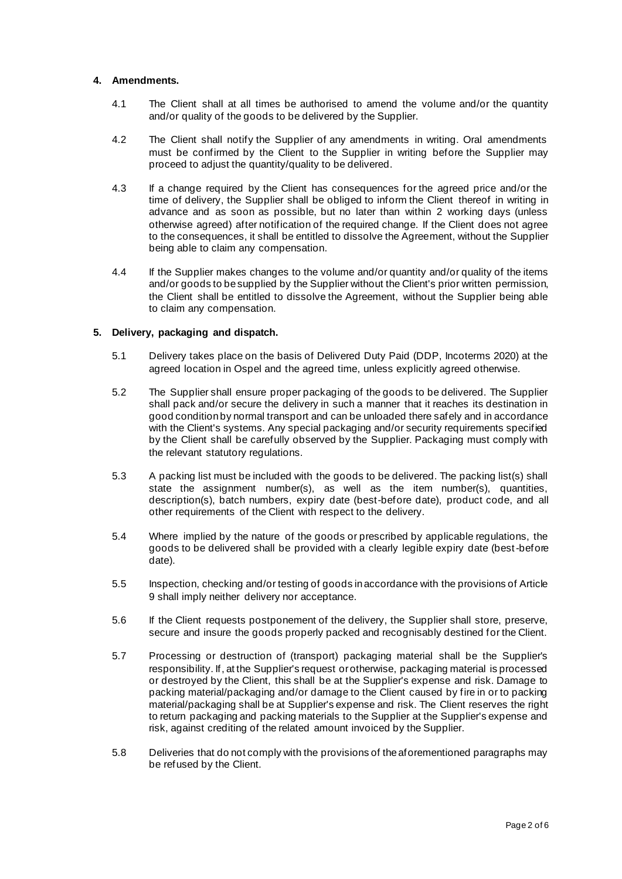## **4. Amendments.**

- 4.1 The Client shall at all times be authorised to amend the volume and/or the quantity and/or quality of the goods to be delivered by the Supplier.
- 4.2 The Client shall notify the Supplier of any amendments in writing. Oral amendments must be confirmed by the Client to the Supplier in writing before the Supplier may proceed to adjust the quantity/quality to be delivered.
- 4.3 If a change required by the Client has consequences for the agreed price and/or the time of delivery, the Supplier shall be obliged to inform the Client thereof in writing in advance and as soon as possible, but no later than within 2 working days (unless otherwise agreed) after notification of the required change. If the Client does not agree to the consequences, it shall be entitled to dissolve the Agreement, without the Supplier being able to claim any compensation.
- 4.4 If the Supplier makes changes to the volume and/or quantity and/or quality of the items and/or goods to be supplied by the Supplier without the Client's prior written permission, the Client shall be entitled to dissolve the Agreement, without the Supplier being able to claim any compensation.

# **5. Delivery, packaging and dispatch.**

- 5.1 Delivery takes place on the basis of Delivered Duty Paid (DDP, Incoterms 2020) at the agreed location in Ospel and the agreed time, unless explicitly agreed otherwise.
- 5.2 The Supplier shall ensure proper packaging of the goods to be delivered. The Supplier shall pack and/or secure the delivery in such a manner that it reaches its destination in good condition by normal transport and can be unloaded there safely and in accordance with the Client's systems. Any special packaging and/or security requirements specified by the Client shall be carefully observed by the Supplier. Packaging must comply with the relevant statutory regulations.
- 5.3 A packing list must be included with the goods to be delivered. The packing list(s) shall state the assignment number(s), as well as the item number(s), quantities, description(s), batch numbers, expiry date (best-before date), product code, and all other requirements of the Client with respect to the delivery.
- 5.4 Where implied by the nature of the goods or prescribed by applicable regulations, the goods to be delivered shall be provided with a clearly legible expiry date (best-before date).
- 5.5 Inspection, checking and/or testing of goods in accordance with the provisions of Article 9 shall imply neither delivery nor acceptance.
- 5.6 If the Client requests postponement of the delivery, the Supplier shall store, preserve, secure and insure the goods properly packed and recognisably destined for the Client.
- 5.7 Processing or destruction of (transport) packaging material shall be the Supplier's responsibility. If, at the Supplier's request or otherwise, packaging material is processed or destroyed by the Client, this shall be at the Supplier's expense and risk. Damage to packing material/packaging and/or damage to the Client caused by fire in or to packing material/packaging shall be at Supplier's expense and risk. The Client reserves the right to return packaging and packing materials to the Supplier at the Supplier's expense and risk, against crediting of the related amount invoiced by the Supplier.
- 5.8 Deliveries that do not comply with the provisions of the aforementioned paragraphs may be refused by the Client.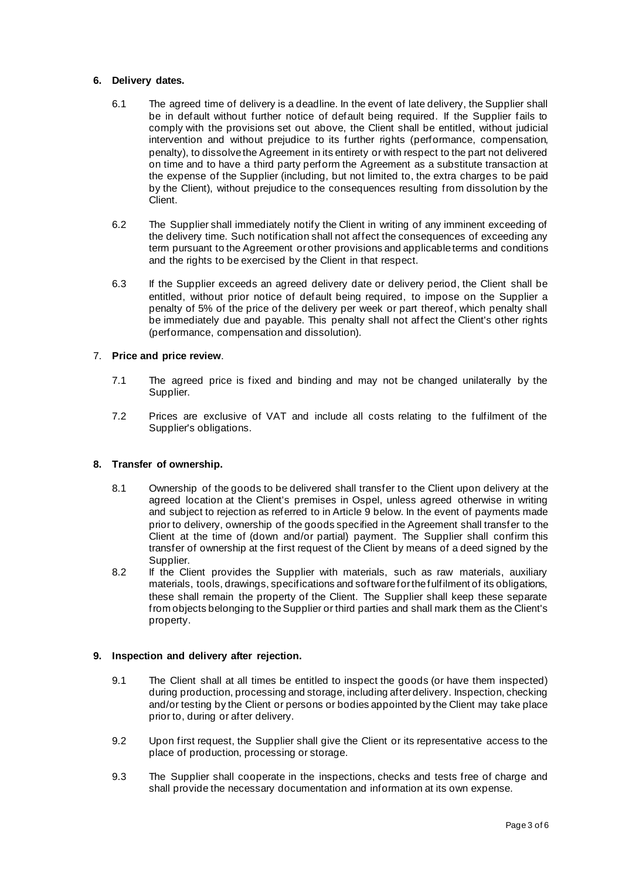## **6. Delivery dates.**

- 6.1 The agreed time of delivery is a deadline. In the event of late delivery, the Supplier shall be in default without further notice of default being required. If the Supplier fails to comply with the provisions set out above, the Client shall be entitled, without judicial intervention and without prejudice to its further rights (performance, compensation, penalty), to dissolve the Agreement in its entirety or with respect to the part not delivered on time and to have a third party perform the Agreement as a substitute transaction at the expense of the Supplier (including, but not limited to, the extra charges to be paid by the Client), without prejudice to the consequences resulting from dissolution by the Client.
- 6.2 The Supplier shall immediately notify the Client in writing of any imminent exceeding of the delivery time. Such notification shall not affect the consequences of exceeding any term pursuant to the Agreement or other provisions and applicable terms and conditions and the rights to be exercised by the Client in that respect.
- 6.3 If the Supplier exceeds an agreed delivery date or delivery period, the Client shall be entitled, without prior notice of default being required, to impose on the Supplier a penalty of 5% of the price of the delivery per week or part thereof, which penalty shall be immediately due and payable. This penalty shall not affect the Client's other rights (performance, compensation and dissolution).

# 7. **Price and price review**.

- 7.1 The agreed price is fixed and binding and may not be changed unilaterally by the Supplier.
- 7.2 Prices are exclusive of VAT and include all costs relating to the fulfilment of the Supplier's obligations.

## **8. Transfer of ownership.**

- 8.1 Ownership of the goods to be delivered shall transfer to the Client upon delivery at the agreed location at the Client's premises in Ospel, unless agreed otherwise in writing and subject to rejection as referred to in Article 9 below. In the event of payments made prior to delivery, ownership of the goods specified in the Agreement shall transfer to the Client at the time of (down and/or partial) payment. The Supplier shall confirm this transfer of ownership at the first request of the Client by means of a deed signed by the Supplier.
- 8.2 If the Client provides the Supplier with materials, such as raw materials, auxiliary materials, tools, drawings, specifications and software for the fulfilment of its obligations, these shall remain the property of the Client. The Supplier shall keep these separate from objects belonging to the Supplier or third parties and shall mark them as the Client's property.

# **9. Inspection and delivery after rejection.**

- 9.1 The Client shall at all times be entitled to inspect the goods (or have them inspected) during production, processing and storage, including after delivery. Inspection, checking and/or testing by the Client or persons or bodies appointed by the Client may take place prior to, during or after delivery.
- 9.2 Upon first request, the Supplier shall give the Client or its representative access to the place of production, processing or storage.
- 9.3 The Supplier shall cooperate in the inspections, checks and tests free of charge and shall provide the necessary documentation and information at its own expense.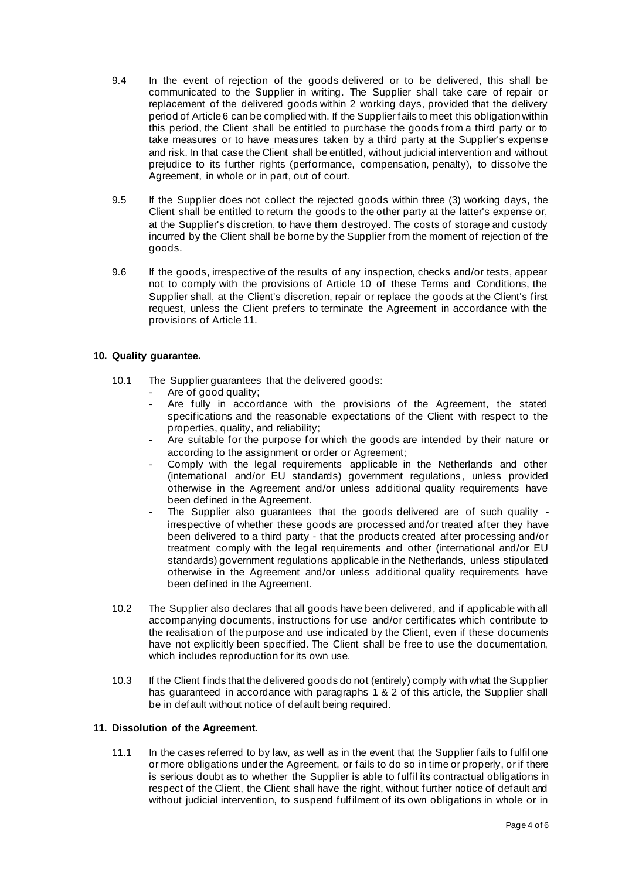- 9.4 In the event of rejection of the goods delivered or to be delivered, this shall be communicated to the Supplier in writing. The Supplier shall take care of repair or replacement of the delivered goods within 2 working days, provided that the delivery period of Article 6 can be complied with. If the Supplier fails to meet this obligation within this period, the Client shall be entitled to purchase the goods from a third party or to take measures or to have measures taken by a third party at the Supplier's expens e and risk. In that case the Client shall be entitled, without judicial intervention and without prejudice to its further rights (performance, compensation, penalty), to dissolve the Agreement, in whole or in part, out of court.
- 9.5 If the Supplier does not collect the rejected goods within three (3) working days, the Client shall be entitled to return the goods to the other party at the latter's expense or, at the Supplier's discretion, to have them destroyed. The costs of storage and custody incurred by the Client shall be borne by the Supplier from the moment of rejection of the goods.
- 9.6 If the goods, irrespective of the results of any inspection, checks and/or tests, appear not to comply with the provisions of Article 10 of these Terms and Conditions, the Supplier shall, at the Client's discretion, repair or replace the goods at the Client's first request, unless the Client prefers to terminate the Agreement in accordance with the provisions of Article 11.

# **10. Quality guarantee.**

- 10.1 The Supplier guarantees that the delivered goods:
	- Are of good quality;
	- Are fully in accordance with the provisions of the Agreement, the stated specifications and the reasonable expectations of the Client with respect to the properties, quality, and reliability;
	- Are suitable for the purpose for which the goods are intended by their nature or according to the assignment or order or Agreement;
	- Comply with the legal requirements applicable in the Netherlands and other (international and/or EU standards) government regulations, unless provided otherwise in the Agreement and/or unless additional quality requirements have been defined in the Agreement.
	- The Supplier also guarantees that the goods delivered are of such quality irrespective of whether these goods are processed and/or treated after they have been delivered to a third party - that the products created after processing and/or treatment comply with the legal requirements and other (international and/or EU standards) government regulations applicable in the Netherlands, unless stipulated otherwise in the Agreement and/or unless additional quality requirements have been defined in the Agreement.
- 10.2 The Supplier also declares that all goods have been delivered, and if applicable with all accompanying documents, instructions for use and/or certificates which contribute to the realisation of the purpose and use indicated by the Client, even if these documents have not explicitly been specified. The Client shall be free to use the documentation, which includes reproduction for its own use.
- 10.3 If the Client finds that the delivered goods do not (entirely) comply with what the Supplier has guaranteed in accordance with paragraphs 1 & 2 of this article, the Supplier shall be in default without notice of default being required.

## **11. Dissolution of the Agreement.**

11.1 In the cases referred to by law, as well as in the event that the Supplier fails to fulfil one or more obligations under the Agreement, or fails to do so in time or properly, or if there is serious doubt as to whether the Supplier is able to fulfil its contractual obligations in respect of the Client, the Client shall have the right, without further notice of default and without judicial intervention, to suspend fulfilment of its own obligations in whole or in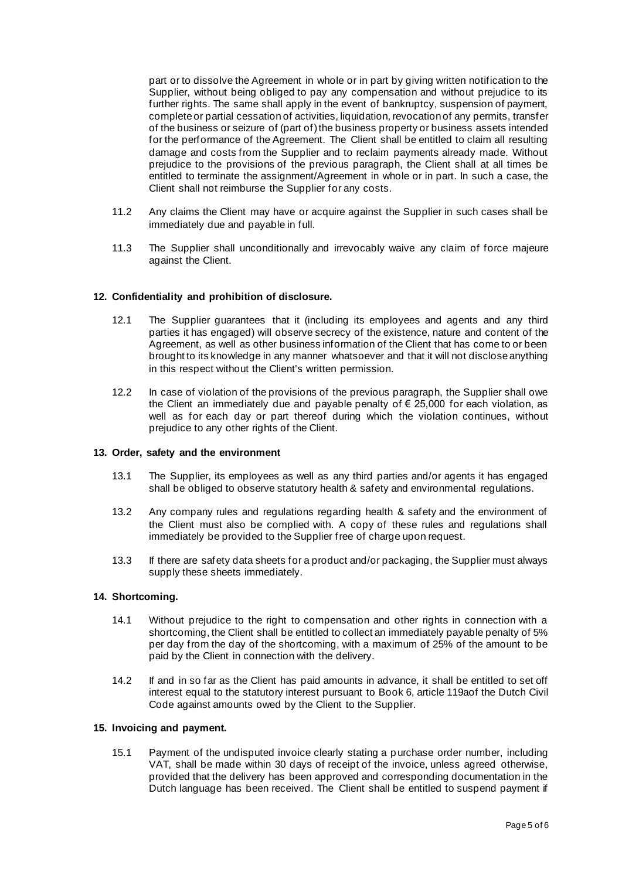part or to dissolve the Agreement in whole or in part by giving written notification to the Supplier, without being obliged to pay any compensation and without prejudice to its further rights. The same shall apply in the event of bankruptcy, suspension of payment, complete or partial cessation of activities, liquidation, revocation of any permits, transfer of the business or seizure of (part of) the business property or business assets intended for the performance of the Agreement. The Client shall be entitled to claim all resulting damage and costs from the Supplier and to reclaim payments already made. Without prejudice to the provisions of the previous paragraph, the Client shall at all times be entitled to terminate the assignment/Agreement in whole or in part. In such a case, the Client shall not reimburse the Supplier for any costs.

- 11.2 Any claims the Client may have or acquire against the Supplier in such cases shall be immediately due and payable in full.
- 11.3 The Supplier shall unconditionally and irrevocably waive any claim of force majeure against the Client.

## **12. Confidentiality and prohibition of disclosure.**

- 12.1 The Supplier guarantees that it (including its employees and agents and any third parties it has engaged) will observe secrecy of the existence, nature and content of the Agreement, as well as other business information of the Client that has come to or been brought to its knowledge in any manner whatsoever and that it will not disclose anything in this respect without the Client's written permission.
- 12.2 In case of violation of the provisions of the previous paragraph, the Supplier shall owe the Client an immediately due and payable penalty of  $\epsilon$  25,000 for each violation, as well as for each day or part thereof during which the violation continues, without prejudice to any other rights of the Client.

## **13. Order, safety and the environment**

- 13.1 The Supplier, its employees as well as any third parties and/or agents it has engaged shall be obliged to observe statutory health & safety and environmental regulations.
- 13.2 Any company rules and regulations regarding health & safety and the environment of the Client must also be complied with. A copy of these rules and regulations shall immediately be provided to the Supplier free of charge upon request.
- 13.3 If there are safety data sheets for a product and/or packaging, the Supplier must always supply these sheets immediately.

#### **14. Shortcoming.**

- 14.1 Without prejudice to the right to compensation and other rights in connection with a shortcoming, the Client shall be entitled to collect an immediately payable penalty of 5% per day from the day of the shortcoming, with a maximum of 25% of the amount to be paid by the Client in connection with the delivery.
- 14.2 If and in so far as the Client has paid amounts in advance, it shall be entitled to set off interest equal to the statutory interest pursuant to Book 6, article 119aof the Dutch Civil Code against amounts owed by the Client to the Supplier.

### **15. Invoicing and payment.**

15.1 Payment of the undisputed invoice clearly stating a purchase order number, including VAT, shall be made within 30 days of receipt of the invoice, unless agreed otherwise, provided that the delivery has been approved and corresponding documentation in the Dutch language has been received. The Client shall be entitled to suspend payment if